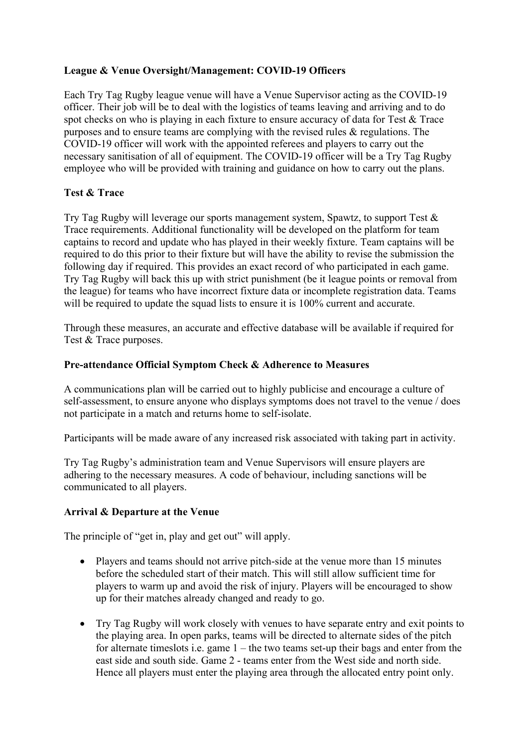## **League & Venue Oversight/Management: COVID-19 Officers**

Each Try Tag Rugby league venue will have a Venue Supervisor acting as the COVID-19 officer. Their job will be to deal with the logistics of teams leaving and arriving and to do spot checks on who is playing in each fixture to ensure accuracy of data for Test & Trace purposes and to ensure teams are complying with the revised rules & regulations. The COVID-19 officer will work with the appointed referees and players to carry out the necessary sanitisation of all of equipment. The COVID-19 officer will be a Try Tag Rugby employee who will be provided with training and guidance on how to carry out the plans.

# **Test & Trace**

Try Tag Rugby will leverage our sports management system, Spawtz, to support Test & Trace requirements. Additional functionality will be developed on the platform for team captains to record and update who has played in their weekly fixture. Team captains will be required to do this prior to their fixture but will have the ability to revise the submission the following day if required. This provides an exact record of who participated in each game. Try Tag Rugby will back this up with strict punishment (be it league points or removal from the league) for teams who have incorrect fixture data or incomplete registration data. Teams will be required to update the squad lists to ensure it is 100% current and accurate.

Through these measures, an accurate and effective database will be available if required for Test & Trace purposes.

## **Pre-attendance Official Symptom Check & Adherence to Measures**

A communications plan will be carried out to highly publicise and encourage a culture of self-assessment, to ensure anyone who displays symptoms does not travel to the venue / does not participate in a match and returns home to self-isolate.

Participants will be made aware of any increased risk associated with taking part in activity.

Try Tag Rugby's administration team and Venue Supervisors will ensure players are adhering to the necessary measures. A code of behaviour, including sanctions will be communicated to all players.

## **Arrival & Departure at the Venue**

The principle of "get in, play and get out" will apply.

- Players and teams should not arrive pitch-side at the venue more than 15 minutes before the scheduled start of their match. This will still allow sufficient time for players to warm up and avoid the risk of injury. Players will be encouraged to show up for their matches already changed and ready to go.
- Try Tag Rugby will work closely with venues to have separate entry and exit points to the playing area. In open parks, teams will be directed to alternate sides of the pitch for alternate timeslots i.e. game 1 – the two teams set-up their bags and enter from the east side and south side. Game 2 - teams enter from the West side and north side. Hence all players must enter the playing area through the allocated entry point only.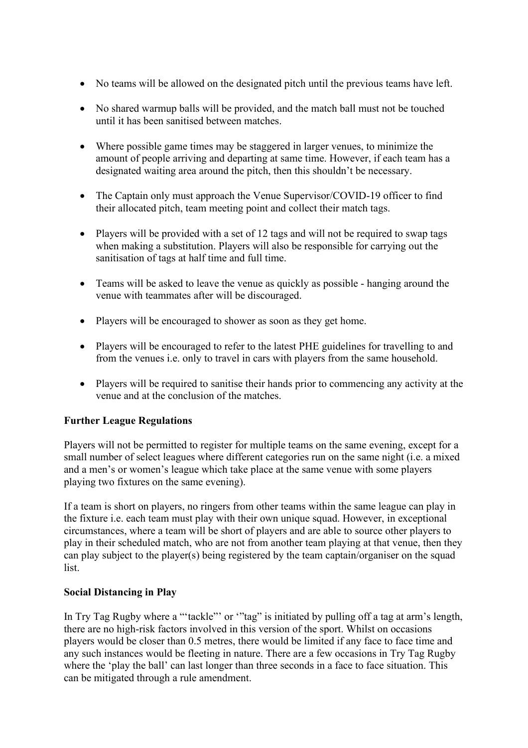- No teams will be allowed on the designated pitch until the previous teams have left.
- No shared warmup balls will be provided, and the match ball must not be touched until it has been sanitised between matches.
- Where possible game times may be staggered in larger venues, to minimize the amount of people arriving and departing at same time. However, if each team has a designated waiting area around the pitch, then this shouldn't be necessary.
- The Captain only must approach the Venue Supervisor/COVID-19 officer to find their allocated pitch, team meeting point and collect their match tags.
- Players will be provided with a set of 12 tags and will not be required to swap tags when making a substitution. Players will also be responsible for carrying out the sanitisation of tags at half time and full time.
- Teams will be asked to leave the venue as quickly as possible hanging around the venue with teammates after will be discouraged.
- Players will be encouraged to shower as soon as they get home.
- Players will be encouraged to refer to the latest PHE guidelines for travelling to and from the venues i.e. only to travel in cars with players from the same household.
- Players will be required to sanitise their hands prior to commencing any activity at the venue and at the conclusion of the matches.

## **Further League Regulations**

Players will not be permitted to register for multiple teams on the same evening, except for a small number of select leagues where different categories run on the same night (i.e. a mixed and a men's or women's league which take place at the same venue with some players playing two fixtures on the same evening).

If a team is short on players, no ringers from other teams within the same league can play in the fixture i.e. each team must play with their own unique squad. However, in exceptional circumstances, where a team will be short of players and are able to source other players to play in their scheduled match, who are not from another team playing at that venue, then they can play subject to the player(s) being registered by the team captain/organiser on the squad list.

#### **Social Distancing in Play**

In Try Tag Rugby where a "'tackle"' or "'tag" is initiated by pulling off a tag at arm's length, there are no high-risk factors involved in this version of the sport. Whilst on occasions players would be closer than 0.5 metres, there would be limited if any face to face time and any such instances would be fleeting in nature. There are a few occasions in Try Tag Rugby where the 'play the ball' can last longer than three seconds in a face to face situation. This can be mitigated through a rule amendment.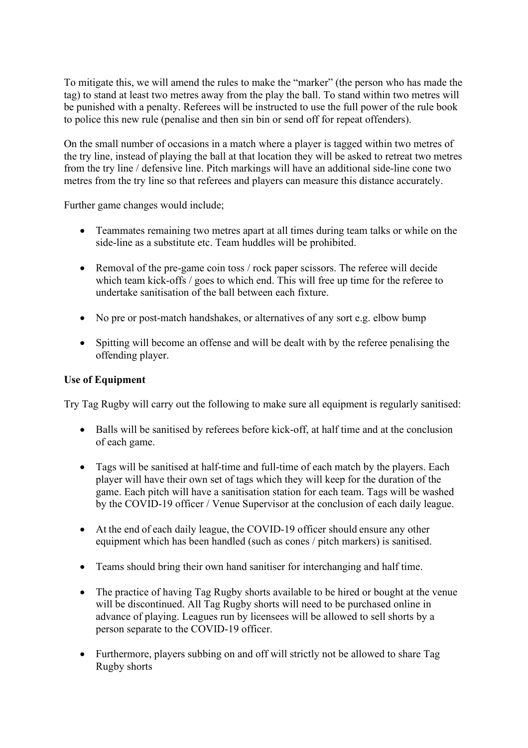To mitigate this, we will amend the rules to make the "marker" (the person who has made the tag) to stand at least two metres away from the play the ball. To stand within two metres will be punished with a penalty. Referees will be instructed to use the full power of the rule book to police this new rule (penalise and then sin bin or send off for repeat offenders).

On the small number of occasions in a match where a player is tagged within two metres of the try line, instead of playing the ball at that location they will be asked to retreat two metres from the try line / defensive line. Pitch markings will have an additional side-line cone two metres from the try line so that referees and players can measure this distance accurately.

Further game changes would include;

- Teammates remaining two metres apart at all times during team talks or while on the side-line as a substitute etc. Team huddles will be prohibited.
- Removal of the pre-game coin toss / rock paper scissors. The referee will decide which team kick-offs / goes to which end. This will free up time for the referee to undertake sanitisation of the ball between each fixture.
- No pre or post-match handshakes, or alternatives of any sort e.g. elbow bump
- Spitting will become an offense and will be dealt with by the referee penalising the offending player.

# **Use of Equipment**

Try Tag Rugby will carry out the following to make sure all equipment is regularly sanitised:

- Balls will be sanitised by referees before kick-off, at half time and at the conclusion of each game.
- Tags will be sanitised at half-time and full-time of each match by the players. Each player will have their own set of tags which they will keep for the duration of the game. Each pitch will have a sanitisation station for each team. Tags will be washed by the COVID-19 officer / Venue Supervisor at the conclusion of each daily league.
- At the end of each daily league, the COVID-19 officer should ensure any other equipment which has been handled (such as cones / pitch markers) is sanitised.
- Teams should bring their own hand sanitiser for interchanging and half time.
- The practice of having Tag Rugby shorts available to be hired or bought at the venue will be discontinued. All Tag Rugby shorts will need to be purchased online in advance of playing. Leagues run by licensees will be allowed to sell shorts by a person separate to the COVID-19 officer.
- Furthermore, players subbing on and off will strictly not be allowed to share Tag Rugby shorts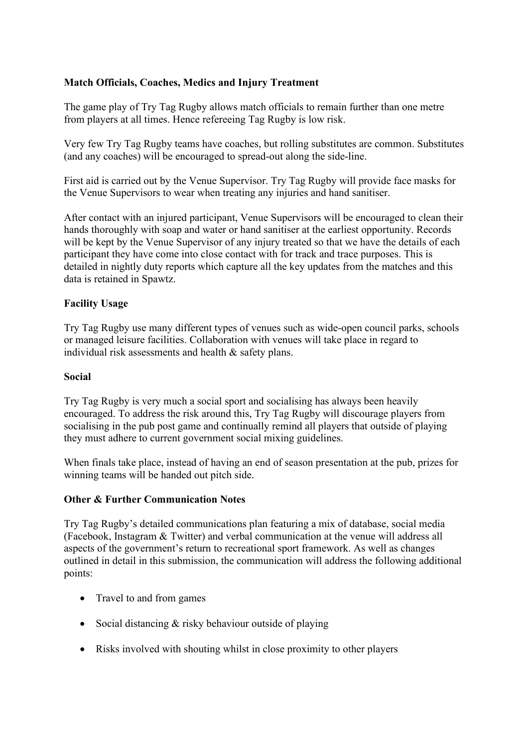## **Match Officials, Coaches, Medics and Injury Treatment**

The game play of Try Tag Rugby allows match officials to remain further than one metre from players at all times. Hence refereeing Tag Rugby is low risk.

Very few Try Tag Rugby teams have coaches, but rolling substitutes are common. Substitutes (and any coaches) will be encouraged to spread-out along the side-line.

First aid is carried out by the Venue Supervisor. Try Tag Rugby will provide face masks for the Venue Supervisors to wear when treating any injuries and hand sanitiser.

After contact with an injured participant, Venue Supervisors will be encouraged to clean their hands thoroughly with soap and water or hand sanitiser at the earliest opportunity. Records will be kept by the Venue Supervisor of any injury treated so that we have the details of each participant they have come into close contact with for track and trace purposes. This is detailed in nightly duty reports which capture all the key updates from the matches and this data is retained in Spawtz.

### **Facility Usage**

Try Tag Rugby use many different types of venues such as wide-open council parks, schools or managed leisure facilities. Collaboration with venues will take place in regard to individual risk assessments and health & safety plans.

#### **Social**

Try Tag Rugby is very much a social sport and socialising has always been heavily encouraged. To address the risk around this, Try Tag Rugby will discourage players from socialising in the pub post game and continually remind all players that outside of playing they must adhere to current government social mixing guidelines.

When finals take place, instead of having an end of season presentation at the pub, prizes for winning teams will be handed out pitch side.

#### **Other & Further Communication Notes**

Try Tag Rugby's detailed communications plan featuring a mix of database, social media (Facebook, Instagram & Twitter) and verbal communication at the venue will address all aspects of the government's return to recreational sport framework. As well as changes outlined in detail in this submission, the communication will address the following additional points:

- Travel to and from games
- Social distancing & risky behaviour outside of playing
- Risks involved with shouting whilst in close proximity to other players